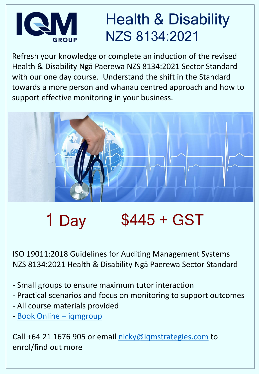### Health & Disability NZS 8134:2021

Refresh your knowledge or complete an induction of the revised Health & Disability Ngā Paerewa NZS 8134:2021 Sector Standard with our one day course. Understand the shift in the Standard towards a more person and whanau centred approach and how to support effective monitoring in your business.



# 1 Day  $$445 + GST$

ISO 19011:2018 Guidelines for Auditing Management Systems NZS 8134:2021 Health & Disability Ngā Paerewa Sector Standard

- Small groups to ensure maximum tutor interaction
- Practical scenarios and focus on monitoring to support outcomes
- All course materials provided
- [Book Online](https://iqmgroup.org/book-online/)  iqmgroup

Call +64 21 1676 905 or email [nicky@iqmstrategies.com](mailto:nicky@iqmstrategies.com) to enrol/find out more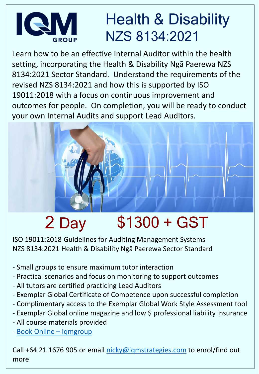#### Health & Disability K NZS 8134:2021

Learn how to be an effective Internal Auditor within the health setting, incorporating the Health & Disability Ngā Paerewa NZS 8134:2021 Sector Standard. Understand the requirements of the revised NZS 8134:2021 and how this is supported by ISO 19011:2018 with a focus on continuous improvement and outcomes for people. On completion, you will be ready to conduct your own Internal Audits and support Lead Auditors.

# 2 Day \$1300 + GST

ISO 19011:2018 Guidelines for Auditing Management Systems NZS 8134:2021 Health & Disability Ngā Paerewa Sector Standard

- Small groups to ensure maximum tutor interaction
- Practical scenarios and focus on monitoring to support outcomes
- All tutors are certified practicing Lead Auditors
- Exemplar Global Certificate of Competence upon successful completion
- Complimentary access to the Exemplar Global Work Style Assessment tool
- Exemplar Global online magazine and low \$ professional liability insurance
- All course materials provided
- [Book Online](https://iqmgroup.org/book-online/)  iqmgroup

Call +64 21 1676 905 or email [nicky@iqmstrategies.com](mailto:nicky@iqmstrategies.com) to enrol/find out more